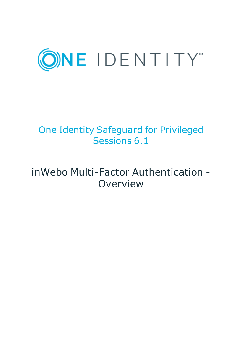

# One Identity Safeguard for Privileged Sessions 6.1

# inWebo Multi-Factor Authentication - **Overview**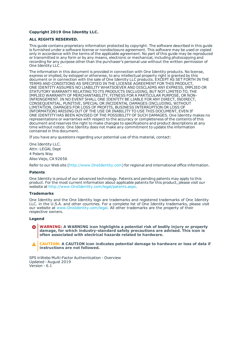#### **Copyright 2019 One Identity LLC.**

#### **ALL RIGHTS RESERVED.**

This guide contains proprietary information protected by copyright. The software described in this guide is furnished under a software license or nondisclosure agreement. This software may be used or copied only in accordance with the terms of the applicable agreement. No part of this guide may be reproduced or transmitted in any form or by any means, electronic or mechanical, including photocopying and recording for any purpose other than the purchaser's personal use without the written permission of One Identity LLC .

The information in this document is provided in connection with One Identity products. No license, express or implied, by estoppel or otherwise, to any intellectual property right is granted by this document or in connection with the sale of One Identity LLC products. EXCEPT AS SET FORTH IN THE TERMS AND CONDITIONS AS SPECIFIED IN THE LICENSE AGREEMENT FOR THIS PRODUCT, ONE IDENTITY ASSUMES NO LIABILITY WHATSOEVER AND DISCLAIMS ANY EXPRESS, IMPLIED OR STATUTORY WARRANTY RELATING TO ITS PRODUCTS INCLUDING, BUT NOT LIMITED TO, THE IMPLIED WARRANTY OF MERCHANTABILITY, FITNESS FOR A PARTICULAR PURPOSE, OR NON-INFRINGEMENT. IN NO EVENT SHALL ONE IDENTITY BE LIABLE FOR ANY DIRECT, INDIRECT, CONSEQUENTIAL, PUNITIVE, SPECIAL OR INCIDENTAL DAMAGES (INCLUDING, WITHOUT LIMITATION, DAMAGES FOR LOSS OF PROFITS, BUSINESS INTERRUPTION OR LOSS OF INFORMATION) ARISING OUT OF THE USE OR INABILITY TO USE THIS DOCUMENT, EVEN IF ONE IDENTITY HAS BEEN ADVISED OF THE POSSIBILITY OF SUCH DAMAGES. One Identity makes no representations or warranties with respect to the accuracy or completeness of the contents of this document and reserves the right to make changes to specifications and product descriptions at any time without notice. One Identity does not make any commitment to update the information contained in this document.

If you have any questions regarding your potential use of this material, contact:

One Identity LLC. Attn: LEGAL Dept 4 Polaris Way Aliso Viejo, CA 92656

Refer to our Web site ([http://www.OneIdentity.com](http://www.oneidentity.com/)) for regional and international office information.

#### **Patents**

One Identity is proud of our advanced technology. Patents and pending patents may apply to this product. For the most current information about applicable patents for this product, please visit our website at [http://www.OneIdentity.com/legal/patents.aspx](http://www.oneidentity.com/legal/patents.aspx).

#### **Trademarks**

One Identity and the One Identity logo are trademarks and registered trademarks of One Identity LLC. in the U.S.A. and other countries. For a complete list of One Identity trademarks, please visit our website at [www.OneIdentity.com/legal](http://www.oneidentity.com/legal). All other trademarks are the property of their respective owners.

#### **Legend**

**WARNING: A WARNING icon highlights a potential risk of bodily injury or property damage, for which industry-standard safety precautions are advised. This icon is often associated with electrical hazards related to hardware.**

**CAUTION: A CAUTION icon indicates potential damage to hardware or loss of data if** A **instructions are not followed.**

SPS inWebo Multi-Factor Authentication - Overview Updated - August 2019 Version - 6.1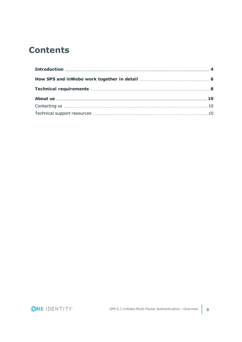## **Contents**

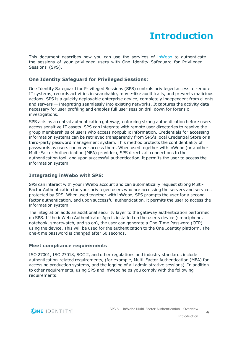## **Introduction**

<span id="page-3-0"></span>This document describes how you can use the services of [inWebo](https://www.inwebo.com/) to authenticate the sessions of your privileged users with One Identity Safeguard for Privileged Sessions (SPS).

### **One Identity Safeguard for Privileged Sessions:**

One Identity Safeguard for Privileged Sessions (SPS) controls privileged access to remote IT systems, records activities in searchable, movie-like audit trails, and prevents malicious actions. SPS is a quickly deployable enterprise device, completely independent from clients and servers — integrating seamlessly into existing networks. It captures the activity data necessary for user profiling and enables full user session drill down for forensic investigations.

SPS acts as a central authentication gateway, enforcing strong authentication before users access sensitive IT assets. SPS can integrate with remote user directories to resolve the group memberships of users who access nonpublic information. Credentials for accessing information systems can be retrieved transparently from SPS's local Credential Store or a third-party password management system. This method protects the confidentiality of passwords as users can never access them. When used together with inWebo (or another Multi-Factor Authentication (MFA) provider), SPS directs all connections to the authentication tool, and upon successful authentication, it permits the user to access the information system.

### **Integrating inWebo with SPS:**

SPS can interact with your inWebo account and can automatically request strong Multi-Factor Authentication for your privileged users who are accessing the servers and services protected by SPS. When used together with inWebo, SPS prompts the user for a second factor authentication, and upon successful authentication, it permits the user to access the information system.

The integration adds an additional security layer to the gateway authentication performed on SPS. If the inWebo Authenticator App is installed on the user's device (smartphone, notebook, smartwatch, and so on), the user can generate a One-Time Password (OTP) using the device. This will be used for the authentication to the One Identity platform. The one-time password is changed after 60 seconds.

### **Meet compliance requirements**

ISO 27001, ISO 27018, SOC 2, and other regulations and industry standards include authentication-related requirements, (for example, Multi-Factor Authentication (MFA) for accessing production systems, and the logging of all administrative sessions). In addition to other requirements, using SPS and inWebo helps you comply with the following requirements:

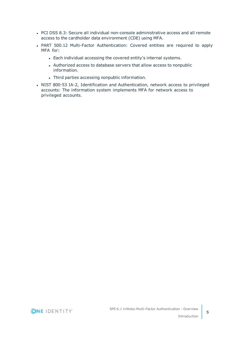- PCI DSS 8.3: Secure all individual non-console administrative access and all remote access to the cardholder data environment (CDE) using MFA.
- PART 500.12 Multi-Factor Authentication: Covered entities are required to apply MFA for:
	- Each individual accessing the covered entity's internal systems.
	- Authorized access to database servers that allow access to nonpublic information.
	- Third parties accessing nonpublic information.
- NIST 800-53 IA-2, Identification and Authentication, network access to privileged accounts: The information system implements MFA for network access to privileged accounts.

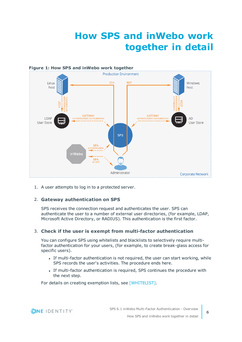# **How SPS and inWebo work together in detail**

<span id="page-5-0"></span>

1. A user attempts to log in to a protected server.

### 2. **Gateway authentication on SPS**

SPS receives the connection request and authenticates the user. SPS can authenticate the user to a number of external user directories, (for example, LDAP, Microsoft Active Directory, or RADIUS). This authentication is the first factor.

### 3. **Check if the user is exempt from multi-factor authentication**

You can configure SPS using whitelists and blacklists to selectively require multifactor authentication for your users, (for example, to create break-glass access for specific users).

- If multi-factor authentication is not required, the user can start working, while SPS records the user's activities. The procedure ends here.
- If multi-factor authentication is required, SPS continues the procedure with the next step.

For details on creating exemption lists, see [WHITELIST].

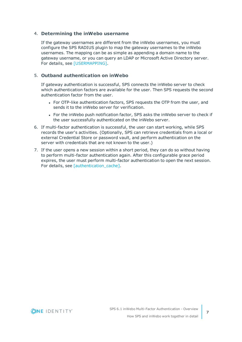#### 4. **Determining the inWebo username**

If the gateway usernames are different from the inWebo usernames, you must configure the SPS RADIUS plugin to map the gateway usernames to the inWebo usernames. The mapping can be as simple as appending a domain name to the gateway username, or you can query an LDAP or Microsoft Active Directory server. For details, see [USERMAPPING].

### 5. **Outband authentication on inWebo**

If gateway authentication is successful, SPS connects the inWebo server to check which authentication factors are available for the user. Then SPS requests the second authentication factor from the user.

- For OTP-like authentication factors, SPS requests the OTP from the user, and sends it to the inWebo server for verification.
- For the inWebo push notification factor, SPS asks the inWebo server to check if the user successfully authenticated on the inWebo server.
- 6. If multi-factor authentication is successful, the user can start working, while SPS records the user's activities. (Optionally, SPS can retrieve credentials from a local or external Credential Store or password vault, and perform authentication on the server with credentials that are not known to the user.)
- 7. If the user opens a new session within a short period, they can do so without having to perform multi-factor authentication again. After this configurable grace period expires, the user must perform multi-factor authentication to open the next session. For details, see [authentication\_cache].

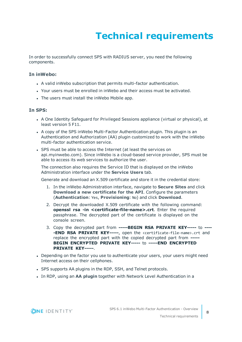# **Technical requirements**

<span id="page-7-0"></span>In order to successfully connect SPS with RADIUS server, you need the following components.

#### **In inWebo:**

- A valid inWebo subscription that permits multi-factor authentication.
- Your users must be enrolled in inWebo and their access must be activated.
- The users must install the inWebo Mobile app.

#### **In SPS:**

- A One Identity Safeguard for Privileged Sessions appliance (virtual or physical), at least version 5 F11.
- A copy of the SPS inWebo Multi-Factor Authentication plugin. This plugin is an Authentication and Authorization (AA) plugin customized to work with the inWebo multi-factor authentication service.
- SPS must be able to access the Internet (at least the services on api.myinwebo.com). Since inWebo is a cloud-based service provider, SPS must be able to access its web services to authorize the user.

The connection also requires the Service ID that is displayed on the inWebo Administration interface under the **Service Users** tab.

Generate and download an X.509 certificate and store it in the credential store:

- 1. In the inWebo Administration interface, navigate to **Secure Sites** and click **Download a new certificate for the API**. Configure the parameters (**Authentication**: Yes, **Provisioning**: No) and click **Download**.
- 2. Decrypt the downloaded X.509 certificate with the following command: **openssl rsa -in <certificate-file-name>.crt**. Enter the required passphrase. The decrypted part of the certificate is displayed on the console screen.
- 3. Copy the decrypted part from **-----BEGIN RSA PRIVATE KEY-----** to **---- -END RSA PRIVATE KEY-----**, open the <certificate-file-name>.crt and replace the encrypted part with the copied decrypted part from **----- BEGIN ENCRYPTED PRIVATE KEY-----** to **-----END ENCRYPTED PRIVATE KEY-----**.
- Depending on the factor you use to authenticate your users, your users might need Internet access on their cellphones.
- SPS supports AA plugins in the RDP, SSH, and Telnet protocols.
- **In RDP, using an AA plugin together with Network Level Authentication in a**

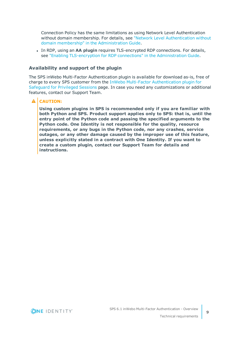Connection Policy has the same limitations as using Network Level Authentication without domain membership. For details, see "Network Level [Authentication](https://support.oneidentity.com/technical-documents/safeguard-for-privileged-sessions/6.1.0/administration-guide/rdp-specific-settings/network-level-authentication-nla-with-one-identity-safeguard-for-privileged-sessions-sps/network-level-authentication-without-domain-membership/) without domain membership" in the [Administration](https://support.oneidentity.com/technical-documents/safeguard-for-privileged-sessions/6.1.0/administration-guide/rdp-specific-settings/network-level-authentication-nla-with-one-identity-safeguard-for-privileged-sessions-sps/network-level-authentication-without-domain-membership/) Guide.

**.** In RDP, using an AA plugin requires TLS-encrypted RDP connections. For details, see "Enabling [TLS-encryption](https://support.oneidentity.com/technical-documents/safeguard-for-privileged-sessions/6.1.0/administration-guide/rdp-specific-settings/enabling-tls-encryption-for-rdp-connections/) for RDP connections" in the Administration Guide.

### **Availability and support of the plugin**

The SPS inWebo Multi-Factor Authentication plugin is available for download as-is, free of charge to every SPS customer from the InWebo Multi-Factor [Authentication](https://github.com/OneIdentity/safeguard-sessions-plugin-inwebo-mfa) plugin for [Safeguard](https://github.com/OneIdentity/safeguard-sessions-plugin-inwebo-mfa) for Privileged Sessions page. In case you need any customizations or additional features, contact our Support Team.

### **A** CAUTION:

**Using custom plugins in SPS is recommended only if you are familiar with both Python and SPS. Product support applies only to SPS: that is, until the entry point of the Python code and passing the specified arguments to the Python code. One Identity is not responsible for the quality, resource requirements, or any bugs in the Python code, nor any crashes, service outages, or any other damage caused by the improper use of this feature, unless explicitly stated in a contract with One Identity. If you want to create a custom plugin, contact our Support Team for details and instructions.**